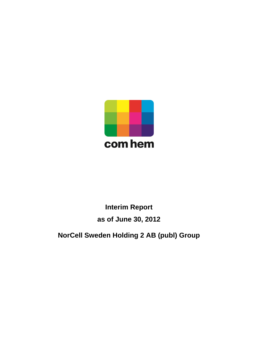

# **Interim Report as of June 30, 2012**

## **NorCell Sweden Holding 2 AB (publ) Group**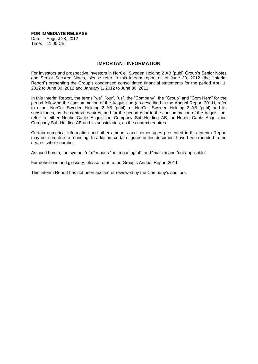#### **FOR IMMEDIATE RELEASE**

Date: August 28, 2012 Time: 11:00 CET

#### **IMPORTANT INFORMATION**

For investors and prospective investors in NorCell Sweden Holding 2 AB (publ) Group's Senior Notes and Senior Secured Notes, please refer to this interim report as of June 30, 2012 (the "Interim Report") presenting the Group's condensed consolidated financial statements for the period April 1, 2012 to June 30, 2012 and January 1, 2012 to June 30, 2012.

In this Interim Report, the terms "we", "our", "us", the "Company", the "Group" and "Com Hem" for the period following the consummation of the Acquisition (as described in the Annual Report 2011*)*, refer to either NorCell Sweden Holding 2 AB (publ), or NorCell Sweden Holding 2 AB (publ) and its subsidiaries, as the context requires, and for the period prior to the consummation of the Acquisition, refer to either Nordic Cable Acquisition Company Sub-Holding AB, or Nordic Cable Acquisition Company Sub-Holding AB and its subsidiaries, as the context requires.

Certain numerical information and other amounts and percentages presented in this Interim Report may not sum due to rounding. In addition, certain figures in this document have been rounded to the nearest whole number.

As used herein, the symbol "n/m" means "not meaningful", and "n/a" means "not applicable".

For definitions and glossary, please refer to the Group's Annual Report 2011.

This Interim Report has not been audited or reviewed by the Company's auditors.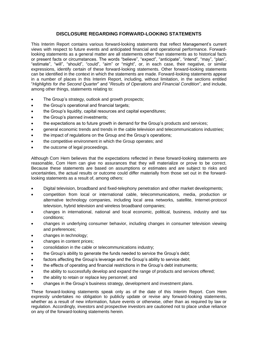#### **DISCLOSURE REGARDING FORWARD-LOOKING STATEMENTS**

This Interim Report contains various forward-looking statements that reflect Management's current views with respect to future events and anticipated financial and operational performance. Forwardlooking statements as a general matter are all statements other than statements as to historical facts or present facts or circumstances. The words "believe", "expect", "anticipate", "intend", "may", "plan", "estimate", "will", "should", "could", "aim" or "might", or, in each case, their negative, or similar expressions, identify certain of these forward-looking statements. Other forward-looking statements can be identified in the context in which the statements are made. Forward-looking statements appear in a number of places in this Interim Report, including, without limitation, in the sections entitled "*Highlights for the Second Quarter*" and "*Results of Operations and Financial Condition*", and include, among other things, statements relating to:

- The Group's strategy, outlook and growth prospects;
- the Group's operational and financial targets;
- the Group's liquidity, capital resources and capital expenditures;
- the Group's planned investments;
- the expectations as to future growth in demand for the Group's products and services;
- general economic trends and trends in the cable television and telecommunications industries;
- the impact of regulations on the Group and the Group's operations;
- the competitive environment in which the Group operates; and
- the outcome of legal proceedings.

Although Com Hem believes that the expectations reflected in these forward-looking statements are reasonable, Com Hem can give no assurances that they will materialize or prove to be correct. Because these statements are based on assumptions or estimates and are subject to risks and uncertainties, the actual results or outcome could differ materially from those set out in the forwardlooking statements as a result of, among others:

- Digital television, broadband and fixed-telephony penetration and other market developments;
- competition from local or international cable, telecommunications, media, production or alternative technology companies, including local area networks, satellite, Internet-protocol television, hybrid television and wireless broadband companies;
- changes in international, national and local economic, political, business, industry and tax conditions;
- changes in underlying consumer behavior, including changes in consumer television viewing and preferences;
- changes in technology;
- changes in content prices;
- consolidation in the cable or telecommunications industry;
- the Group's ability to generate the funds needed to service the Group's debt;
- factors affecting the Group's leverage and the Group's ability to service debt;
- the effects of operating and financial restrictions in the Group's debt instruments;
- the ability to successfully develop and expand the range of products and services offered;
- the ability to retain or replace key personnel; and
- changes in the Group's business strategy, development and investment plans.

These forward-looking statements speak only as of the date of this Interim Report. Com Hem expressly undertakes no obligation to publicly update or revise any forward-looking statements, whether as a result of new information, future events or otherwise, other than as required by law or regulation. Accordingly, investors and prospective investors are cautioned not to place undue reliance on any of the forward-looking statements herein.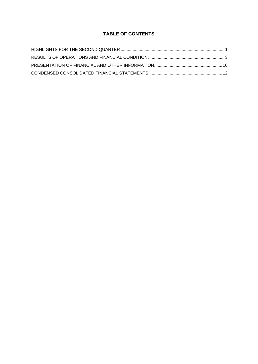## **TABLE OF CONTENTS**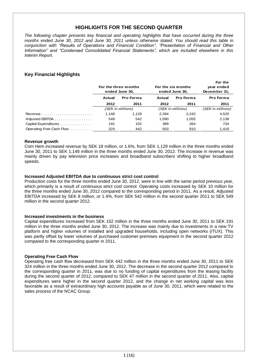## **HIGHLIGHTS FOR THE SECOND QUARTER**

*The following chapter presents key financial and operating highlights that have occurred during the three months ended June 30, 2012 and June 30, 2011 unless otherwise stated. You should read this table in conjunction with "Results of Operations and Financial Condition", "Presentation of Financial and Other Information" and "Condensed Consolidated Financial Statements", which are included elsewhere in this Interim Report.*

## **Key Financial Highlights**

|                                                            | For the three months<br>ended June 30, |                   |                   | For the six months<br>ended June 30, | For the<br>year ended<br>December 31, |
|------------------------------------------------------------|----------------------------------------|-------------------|-------------------|--------------------------------------|---------------------------------------|
|                                                            | Actual                                 | Pro Forma         | Actual            | Pro Forma                            | Pro Forma                             |
|                                                            | 2012                                   | 2011              | 2012              | 2011                                 | 2011                                  |
|                                                            |                                        | (SEK in millions) | (SEK in millions) |                                      | (SEK in millions)                     |
| Revenue $\ldots \ldots \ldots \ldots \ldots \ldots \ldots$ | 1.148                                  | 1.129             | 2,284             | 2.242                                | 4,520                                 |
| Adjusted EBITDA                                            | 549                                    | 542               | 1.090             | 1.055                                | 2,138                                 |
| Capital Expenditures                                       | 191                                    | 152               | 389               | 264                                  | 734                                   |
| Operating Free Cash Flow                                   | 324                                    | 442               | 503               | 810                                  | 1,419                                 |
|                                                            |                                        |                   |                   |                                      |                                       |

#### **Revenue growth**

Com Hem increased revenue by SEK 18 million, or 1.6%, from SEK 1,129 million in the three months ended June 30, 2011 to SEK 1,148 million in the three months ended June 30, 2012. The increase in revenue was mainly driven by pay television price increases and broadband subscribers shifting to higher broadband speeds.

#### **Increased Adjusted EBITDA due to continuous strict cost control**

Production costs for the three months ended June 30, 2012, were in line with the same period previous year, which primarily is a result of continuous strict cost control. Operating costs increased by SEK 10 million for the three months ended June 30, 2012 compared to the corresponding period in 2011. As a result, Adjusted EBITDA increased by SEK 8 million, or 1.4%, from SEK 542 million in the second quarter 2011 to SEK 549 million in the second quarter 2012.

#### **Increased investments in the business**

Capital expenditures increased from SEK 152 million in the three months ended June 30, 2011 to SEK 191 million in the three months ended June 30, 2012. The increase was mainly due to investments in a new TV platform and higher volumes of installed and upgraded households, including open networks (iTUX). This was partly offset by lower volumes of purchased customer-premises equipment in the second quarter 2012 compared to the corresponding quarter in 2011.

#### **Operating Free Cash Flow**

Operating free cash flow decreased from SEK 442 million in the three months ended June 30, 2011 to SEK 324 million in the three months ended June 30, 2012. The decrease in the second quarter 2012 compared to the corresponding quarter in 2011, was due to no funding of capital expenditures from the leasing facility during the second quarter of 2012, compared to SEK 47 million in the second quarter of 2011. Also, capital expenditures were higher in the second quarter 2012, and the change in net working capital was less favorable as a result of extraordinary high accounts payable as of June 30, 2011, which were related to the sales process of the NCAC Group.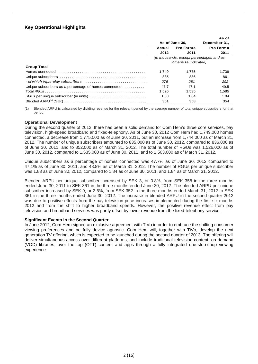## **Key Operational Highlights**

|                                                                                                                    |                     |                                          | As of        |  |
|--------------------------------------------------------------------------------------------------------------------|---------------------|------------------------------------------|--------------|--|
|                                                                                                                    | As of June 30,      |                                          | December 31, |  |
|                                                                                                                    | Pro Forma<br>Actual |                                          | Pro Forma    |  |
|                                                                                                                    | 2012                | 2011                                     | 2011         |  |
|                                                                                                                    |                     | (in thousands, except percentages and as |              |  |
|                                                                                                                    |                     | otherwise indicated)                     |              |  |
| <b>Group Total</b>                                                                                                 |                     |                                          |              |  |
| Homes connected $\ldots$ $\ldots$ $\ldots$ $\ldots$ $\ldots$ $\ldots$ $\ldots$ $\ldots$ $\ldots$ $\ldots$ $\ldots$ | 1.749               | 1.775                                    | 1.739        |  |
|                                                                                                                    | 835                 | 836                                      | 861          |  |
|                                                                                                                    | 276                 | 281                                      | 292          |  |
| Unique subscribers as a percentage of homes connected                                                              | 47.7                | 47.1                                     | 49.5         |  |
|                                                                                                                    | 1,526               | 1.535                                    | 1,585        |  |
|                                                                                                                    | 1.83                | 1.84                                     | 1.84         |  |
|                                                                                                                    | 361                 | 358                                      | 354          |  |

(1) Blended ARPU is calculated by dividing revenue for the relevant period by the average number of total unique subscribers for that period.

#### **Operational Development**

During the second quarter of 2012, there has been a solid demand for Com Hem's three core services, pay television, high-speed broadband and fixed-telephony. As of June 30, 2012 Com Hem had 1,749,000 homes connected, a decrease from 1,775,000 as of June 30, 2011, but an increase from 1,744,000 as of March 31, 2012. The number of unique subscribers amounted to 835,000 as of June 30, 2012, compared to 836,000 as of June 30, 2011, and to 852,000 as of March 31, 2012. The total number of RGUs was 1,526,000 as of June 30, 2012, compared to 1,535,000 as of June 30, 2011, and to 1,563,000 as of March 31, 2012.

Unique subscribers as a percentage of homes connected was 47.7% as of June 30, 2012 compared to 47.1% as of June 30, 2011, and 48.8% as of March 31, 2012. The number of RGUs per unique subscriber was 1.83 as of June 30, 2012, compared to 1.84 as of June 30, 2011, and 1.84 as of March 31, 2012.

Blended ARPU per unique subscriber increased by SEK 3, or 0.8%, from SEK 358 in the three months ended June 30, 2011 to SEK 361 in the three months ended June 30, 2012. The blended ARPU per unique subscriber increased by SEK 9, or 2.6%, from SEK 352 in the three months ended March 31, 2012 to SEK 361 in the three months ended June 30, 2012. The increase in blended ARPU in the second quarter 2012 was due to positive effects from the pay television price increases implemented during the first six months 2012 and from the shift to higher broadband speeds. However, the positive revenue effect from pay television and broadband services was partly offset by lower revenue from the fixed-telephony service.

#### **Significant Events in the Second Quarter**

In June 2012, Com Hem signed an exclusive agreement with TiVo in order to embrace the shifting consumer viewing preferences and be fully device agnostic. Com Hem will, together with TiVo, develop the next generation TV offering, which is expected to be launched during the second quarter of 2013. The offering will deliver simultaneous access over different platforms, and include traditional television content, on demand (VOD) libraries, over the top (OTT) content and apps through a fully integrated one-stop-shop viewing experience.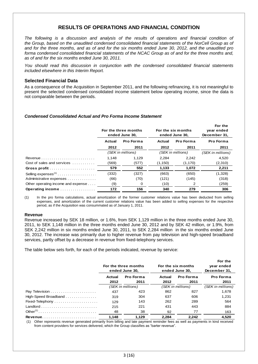## **RESULTS OF OPERATIONS AND FINANCIAL CONDITION**

*The following is a discussion and analysis of the results of operations and financial condition of the Group, based on the unaudited condensed consolidated financial statements of the NorCell Group as of and for the three months, and as of and for the six months ended June 30, 2012, and the unaudited pro forma condensed consolidated financial statements of the NCAC Group as of and for the three months and, as of and for the six months ended June 30, 2011.*

*You should read this discussion in conjunction with the condensed consolidated financial statements included elsewhere in this Interim Report.*

#### **Selected Financial Data**

As a consequence of the Acquisition in September 2011, and the following refinancing, it is not meaningful to present the selected condensed consolidated income statement below operating income, since the data is not comparable between the periods.

#### *Condensed Consolidated Actual and Pro Forma Income Statement*

|                                                                   | For the three months<br>ended June 30, |                   |         | For the six months<br>ended June 30, | For the<br>year ended<br>December 31, |
|-------------------------------------------------------------------|----------------------------------------|-------------------|---------|--------------------------------------|---------------------------------------|
|                                                                   | Pro Forma<br>Actual                    |                   | Actual  | Pro Forma                            | Pro Forma                             |
|                                                                   | 2012                                   | 2011              | 2012    | 2011                                 | 2011                                  |
|                                                                   |                                        | (SEK in millions) |         | (SEK in millions)                    | (SEK in millions)                     |
| Revenue $\ldots \ldots \ldots \ldots \ldots \ldots \ldots \ldots$ | 1.148                                  | 1.129             | 2.284   | 2.242                                | 4.520                                 |
| Cost of sales and services                                        | (569)                                  | (577)             | (1,150) | (1, 170)                             | (2,310)                               |
|                                                                   | 579                                    | 552               | 1,133   | 1,072                                | 2,211                                 |
|                                                                   | (332)                                  | (327)             | (663)   | (650)                                | (1,328)                               |
| Administrative expenses                                           | (66)                                   | (70)              | (121)   | (145)                                | (318)                                 |
| Other operating income and expense                                | (9)                                    | 0                 | (10)    | 2                                    | (259)                                 |
| Operating income                                                  | 172                                    | 156               | 340     | 279                                  | 306                                   |

(1) In the pro forma calculations, actual amortization of the former customer relations value has been deducted from selling expenses, and amortization of the current customer relations value has been added to selling expenses for the respective period, as if the Acquisition was consummated as of January 1, 2011.

#### **Revenue**

Revenue increased by SEK 18 million, or 1.6%, from SEK 1,129 million in the three months ended June 30, 2011, to SEK 1,148 million in the three months ended June 30, 2012 and by SEK 42 million, or 1.9%, from SEK 2,242 million in six months ended June 30, 2011, to SEK 2,284 million in the six months ended June 30, 2012. The increase was primarily due to higher revenue from pay television and high-speed broadband services, partly offset by a decrease in revenue from fixed-telephony services.

The table below sets forth, for each of the periods indicated, revenue by service:

|                      | For the three months<br>ended June 30. |                   |        | For the six months<br>ended June 30. | For the<br>year ended<br>December 31, |
|----------------------|----------------------------------------|-------------------|--------|--------------------------------------|---------------------------------------|
|                      | Pro Forma<br>Actual                    |                   | Actual | Pro Forma                            | Pro Forma                             |
|                      | 2012                                   | 2011              | 2012   | 2011                                 | 2011                                  |
|                      |                                        | (SEK in millions) |        | (SEK in millions)                    | (SEK in millions)                     |
|                      | 437                                    | 423               | 862    | 827                                  | 1.678                                 |
| High-Speed Broadband | 319                                    | 304               | 637    | 606                                  | 1.231                                 |
| Fixed-Telephony      | 129                                    | 143               | 262    | 289                                  | 564                                   |
|                      | 215                                    | 221               | 431    | 443                                  | 884                                   |
|                      | 48                                     | 38                | 92     | 77                                   | 163                                   |
| <b>Revenue</b>       | 1.148                                  | 1.129             | 2.284  | 2.242                                | 4.520                                 |

(1) Other represents revenue generated primarily from billing and late payment reminder fees as well as payments in kind received from content providers for services delivered, which the Group classifies as "barter revenue".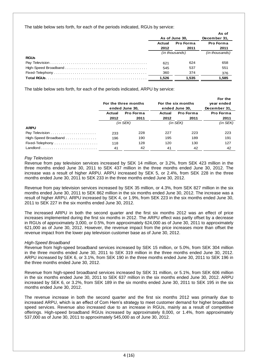The table below sets forth, for each of the periods indicated, RGUs by service:

|             |                            |                | As of          |
|-------------|----------------------------|----------------|----------------|
|             | As of June 30,             |                | December 31,   |
|             | <b>Pro Forma</b><br>Actual |                | Pro Forma      |
|             | 2012                       | 2011           | 2011           |
|             |                            | (in thousands) | (in thousands) |
| <b>RGUs</b> |                            |                |                |
|             | 621                        | 624            | 658            |
|             | 545                        | 537            | 551            |
|             | 360                        | 374            | 376            |
|             | 1,526                      | 1.535          | 1,585          |

The table below sets forth, for each of the periods indicated, ARPU by service:

|                                                      | For the three months<br>ended June 30, |           |               | For the six months<br>ended June 30, | For the<br>year ended<br>December 31, |
|------------------------------------------------------|----------------------------------------|-----------|---------------|--------------------------------------|---------------------------------------|
|                                                      | Actual                                 | Pro Forma | Actual        | <b>Pro Forma</b>                     | Pro Forma                             |
|                                                      | 2012                                   | 2011      | 2012          | 2011                                 | 2011                                  |
|                                                      | $(in$ SEK $)$                          |           | $(in$ SEK $)$ |                                      | (in SEK)                              |
| <b>ARPU</b>                                          |                                        |           |               |                                      |                                       |
|                                                      | 233                                    | 228       | 227           | 223                                  | 223                                   |
| $High-Speed$ Broadband $\ldots \ldots \ldots \ldots$ | 196                                    | 190       | 195           | 189                                  | 191                                   |
| Fixed-Telephony                                      | 118                                    | 128       | 120           | 130                                  | 127                                   |
|                                                      | 41                                     | 42        | 41            | 42                                   | 42                                    |

#### *Pay Television*

Revenue from pay television services increased by SEK 14 million, or 3.2%, from SEK 423 million in the three months ended June 30, 2011 to SEK 437 million in the three months ended June 30, 2012. The increase was a result of higher ARPU. ARPU increased by SEK 5, or 2.4%, from SEK 228 in the three months ended June 30, 2011 to SEK 233 in the three months ended June 30, 2012.

Revenue from pay television services increased by SEK 35 million, or 4.3%, from SEK 827 million in the six months ended June 30, 2011 to SEK 862 million in the six months ended June 30, 2012. The increase was a result of higher ARPU. ARPU increased by SEK 4, or 1.9%, from SEK 223 in the six months ended June 30, 2011 to SEK 227 in the six months ended June 30, 2012.

The increased ARPU in both the second quarter and the first six months 2012 was an effect of price increases implemented during the first six months in 2012. The ARPU effect was partly offset by a decrease in RGUs of approximately 3,000, or 0.5%, from approximately 624,000 as of June 30, 2011 to approximately 621,000 as of June 30, 2012. However, the revenue impact from the price increases more than offset the revenue impact from the lower pay television customer base as of June 30, 2012.

#### *High-Speed Broadband*

Revenue from high-speed broadband services increased by SEK 15 million, or 5.0%, from SEK 304 million in the three months ended June 30, 2011 to SEK 319 million in the three months ended June 30, 2012. ARPU increased by SEK 6, or 3.1%, from SEK 190 in the three months ended June 30, 2011 to SEK 196 in the three months ended June 30, 2012.

Revenue from high-speed broadband services increased by SEK 31 million, or 5.1%, from SEK 606 million in the six months ended June 30, 2011 to SEK 637 million in the six months ended June 30, 2012. ARPU increased by SEK 6, or 3.2%, from SEK 189 in the six months ended June 30, 2011 to SEK 195 in the six months ended June 30, 2012.

The revenue increase in both the second quarter and the first six months 2012 was primarily due to increased ARPU, which is an effect of Com Hem's strategy to meet customer demand for higher broadband speed services. Revenue also increased due to an increase in RGUs, mainly as a result of competitive offerings. High-speed broadband RGUs increased by approximately 8,000, or 1.4%, from approximately 537,000 as of June 30, 2011 to approximately 545,000 as of June 30, 2012.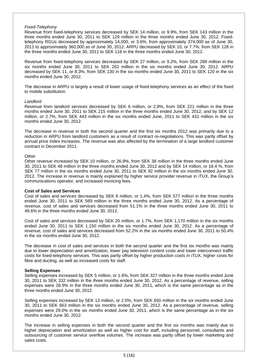#### *Fixed-Telephony*

Revenue from fixed-telephony services decreased by SEK 14 million, or 9.9%, from SEK 143 million in the three months ended June 30, 2011 to SEK 129 million in the three months ended June 30, 2012. Fixedtelephony RGUs decreased by approximately 14,000, or 3.6%, from approximately 374,000 as of June 30, 2011 to approximately 360,000 as of June 30, 2012. ARPU decreased by SEK 10, or 7.7%, from SEK 128 in the three months ended June 30, 2011 to SEK 118 in the three months ended June 30, 2012.

Revenue from fixed-telephony services decreased by SEK 27 million, or 9.2%, from SEK 289 million in the six months ended June 30, 2011 to SEK 262 million in the six months ended June 30, 2012. ARPU decreased by SEK 11, or 8.3%, from SEK 130 in the six months ended June 30, 2011 to SEK 120 in the six months ended June 30, 2012.

The decrease in ARPU is largely a result of lower usage of fixed-telephony services as an effect of the fixed to mobile substitution.

#### *Landlord*

Revenue from landlord services decreased by SEK 6 million, or 2.8%, from SEK 221 million in the three months ended June 30, 2011 to SEK 215 million in the three months ended June 30, 2012, and by SEK 12 million, or 2.7%, from SEK 443 million in the six months ended June, 2011 to SEK 431 million in the six months ended June 30, 2012.

The decrease in revenue in both the second quarter and the first six months 2012 was primarily due to a reduction in ARPU from landlord customers as a result of contract re-negotiations. This was partly offset by annual price index increases. The revenue was also affected by the termination of a large landlord customer contract in December 2011.

#### *Other*

Other revenue increased by SEK 10 million, or 26.9%, from SEK 38 million in the three months ended June 30, 2011 to SEK 48 million in the three months ended June 30, 2012 and by SEK 14 million, or 18.4 %, from SEK 77 million in the six months ended June 30, 2011 to SEK 92 million in the six months ended June 30, 2012. The increase in revenue is mainly explained by higher service provider revenue in iTUX, the Group's communications operator, and increased invoicing fees.

#### **Cost of Sales and Services**

Cost of sales and services decreased by SEK 8 million, or 1.4%, from SEK 577 million in the three months ended June 30, 2011 to SEK 569 million in the three months ended June 30, 2012. As a percentage of revenue, cost of sales and services decreased from 51.1% in the three months ended June 30, 2011 to 49.6% in the three months ended June 30, 2012.

Cost of sales and services decreased by SEK 20 million, or 1.7%, from SEK 1,170 million in the six months ended June 30, 2011 to SEK 1,150 million in the six months ended June 30, 2012. As a percentage of revenue, cost of sales and services decreased from 52.2% in the six months ended June 30, 2011 to 50.4% in the six months ended June 30, 2012.

The decrease in cost of sales and services in both the second quarter and the first six months was mainly due to lower depreciation and amortization, lower pay television content costs and lower interconnect traffic costs for fixed-telephony services. This was partly offset by higher production costs in iTUX, higher costs for fibre and ducting, as well as increased costs for staff.

#### **Selling Expenses**

Selling expenses increased by SEK 5 million, or 1.6%, from SEK 327 million in the three months ended June 30, 2011 to SEK 332 million in the three months ended June 30, 2012. As a percentage of revenue, selling expenses were 28.9% in the three months ended June 30, 2011, which is the same percentage as in the three months ended June 30, 2012.

Selling expenses increased by SEK 13 million, or 2.0%, from SEK 650 million in the six months ended June 30, 2011 to SEK 663 million in the six months ended June 30, 2012. As a percentage of revenue, selling expenses were 29.0% in the six months ended June 30, 2011, which is the same percentage as in the six months ended June 30, 2012.

The increase in selling expenses in both the second quarter and the first six months was mainly due to higher depreciation and amortization as well as higher cost for staff, including personnel, consultants and outsourcing of customer service overflow volumes. The increase was partly offset by lower marketing and sales costs.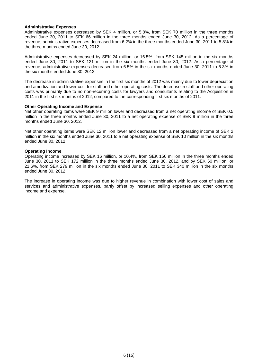#### **Administrative Expenses**

Administrative expenses decreased by SEK 4 million, or 5.8%, from SEK 70 million in the three months ended June 30, 2011 to SEK 66 million in the three months ended June 30, 2012. As a percentage of revenue, administrative expenses decreased from 6.2% in the three months ended June 30, 2011 to 5.8% in the three months ended June 30, 2012.

Administrative expenses decreased by SEK 24 million, or 16.5%, from SEK 145 million in the six months ended June 30, 2011 to SEK 121 million in the six months ended June 30, 2012. As a percentage of revenue, administrative expenses decreased from 6.5% in the six months ended June 30, 2011 to 5.3% in the six months ended June 30, 2012.

The decrease in administrative expenses in the first six months of 2012 was mainly due to lower depreciation and amortization and lower cost for staff and other operating costs. The decrease in staff and other operating costs was primarily due to no non-recurring costs for lawyers and consultants relating to the Acquisition in 2011 in the first six months of 2012, compared to the corresponding first six months of 2011.

#### **Other Operating Income and Expense**

Net other operating items were SEK 9 million lower and decreased from a net operating income of SEK 0.5 million in the three months ended June 30, 2011 to a net operating expense of SEK 9 million in the three months ended June 30, 2012.

Net other operating items were SEK 12 million lower and decreased from a net operating income of SEK 2 million in the six months ended June 30, 2011 to a net operating expense of SEK 10 million in the six months ended June 30, 2012.

#### **Operating Income**

Operating income increased by SEK 16 million, or 10.4%, from SEK 156 million in the three months ended June 30, 2011 to SEK 172 million in the three months ended June 30, 2012, and by SEK 60 million, or 21.6%, from SEK 279 million in the six months ended June 30, 2011 to SEK 340 million in the six months ended June 30, 2012.

The increase in operating income was due to higher revenue in combination with lower cost of sales and services and administrative expenses, partly offset by increased selling expenses and other operating income and expense.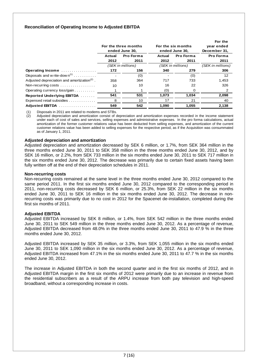#### **Reconciliation of Operating Income to Adjusted EBITDA**

|                                                         | For the three months<br>ended June 30, |                   |        | For the six months<br>ended June 30, | For the<br>year ended<br>December 31, |
|---------------------------------------------------------|----------------------------------------|-------------------|--------|--------------------------------------|---------------------------------------|
|                                                         | Actual                                 | Pro Forma         | Actual | Pro Forma                            | Pro Forma                             |
|                                                         | 2012                                   | 2011              | 2012   | 2011                                 | 2011                                  |
|                                                         |                                        | (SEK in millions) |        | (SEK in millions)                    | (SEK in millions)                     |
| Operating Income                                        | 172                                    | 156               | 340    | 279                                  | 306                                   |
| Disposals and w rite-dow $n^{(1)}$                      |                                        | (0)               |        | (0)                                  | 12                                    |
| Adjusted depreciation and amortization <sup>(2)</sup> . | 358                                    | 364               | 717    | 733                                  | 1,453                                 |
| Non-recurring costs                                     | 10                                     | 10                | 16     | 22                                   | 326                                   |
| Operating currency loss/gain                            |                                        |                   | (0)    | 0                                    | 2                                     |
| Reported Underlying EBITDA                              | 541                                    | 531               | 1,073  | 1,034                                | 2,098                                 |
| Expensed retail subsidies                               | 8                                      | 10                | 17     | 21                                   | 40                                    |
| Adjusted EBITDA                                         | 549                                    | 542               | 1.090  | 1.055                                | 2.138                                 |

(1) Disposals in 2011 are related to modems and STBs.

 $\langle 2 \rangle$  Adjusted depreciation and amortization consist of depreciation and amortization expenses recorded in the income statement under each of cost of sales and services, selling expenses and administrative expenses. In the pro forma calculations, actual amortization of the former customer relations value has been deducted from selling expenses, and amortization of the current customer relations value has been added to selling expenses for the respective period, as if the Acquisition was consummated as of January 1, 2011.

#### **Adjusted depreciation and amortization**

Adjusted depreciation and amortization decreased by SEK 6 million, or 1.7%, from SEK 364 million in the three months ended June 30, 2011 to SEK 358 million in the three months ended June 30, 2012, and by SEK 16 million, or 2.2%, from SEK 733 million in the six months ended June 30, 2011 to SEK 717 million in the six months ended June 30, 2012. The decrease was primarily due to certain fixed assets having been fully written off at the end of their depreciation schedules in 2011.

#### **Non-recurring costs**

Non-recurring costs remained at the same level in the three months ended June 30, 2012 compared to the same period 2011. In the first six months ended June 30, 2012 compared to the corresponding period in 2011, non-recurring costs decreased by SEK 6 million, or 25.3%, from SEK 22 million in the six months ended June 30, 2011 to SEK 16 million in the six months ended June 30, 2012. The decrease in nonrecurring costs was primarily due to no cost in 2012 for the Spacenet de-installation, completed during the first six months of 2011.

#### **Adjusted EBITDA**

Adjusted EBITDA increased by SEK 8 million, or 1.4%, from SEK 542 million in the three months ended June 30, 2011 to SEK 549 million in the three months ended June 30, 2012. As a percentage of revenue, Adjusted EBITDA decreased from 48.0% in the three months ended June 30, 2011 to 47.9 % in the three months ended June 30, 2012.

Adjusted EBITDA increased by SEK 35 million, or 3.3%, from SEK 1,055 million in the six months ended June 30, 2011 to SEK 1,090 million in the six months ended June 30, 2012. As a percentage of revenue, Adjusted EBITDA increased from 47.1% in the six months ended June 30, 2011 to 47.7 % in the six months ended June 30, 2012.

The increase in Adjusted EBITDA in both the second quarter and in the first six months of 2012, and in Adjusted EBITDA margin in the first six months of 2012 were primarily due to an increase in revenue from the residential subscribers as a result of the ARPU increase from both pay television and high-speed broadband, without a corresponding increase in costs.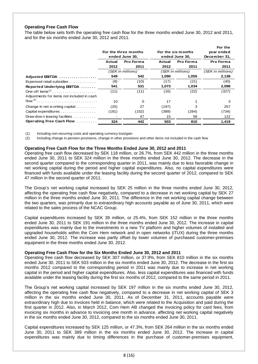#### **Operating Free Cash Flow**

The table below sets forth the operating free cash flow for the three months ended June 30, 2012 and 2011, and for the six months ended June 30, 2012 and 2011.

|                                            |                      |                   |        |                    | For the           |
|--------------------------------------------|----------------------|-------------------|--------|--------------------|-------------------|
|                                            | For the three months |                   |        | For the six months | year ended        |
|                                            |                      | ended June 30,    |        | ended June 30,     | December 31,      |
|                                            | Actual               | Pro Forma         | Actual | Pro Forma          | Pro Forma         |
|                                            | 2012                 | 2011              | 2012   | 2011               | 2011              |
|                                            |                      | (SEK in millions) |        | (SEK in millions)  | (SEK in millions) |
| Adjusted EBITDA                            | 549                  | 542               | 1,090  | 1,055              | 2,138             |
| Expensed retail subsidies                  | (8)                  | (10)              | (17)   | (21)               | (40)              |
| Reported Underlying EBITDA                 | 541                  | 531               | 1,073  | 1,034              | 2,098             |
| One-off items <sup><math>(1)</math></sup>  | (11)                 | (11)              | (16)   | (22)               | (327)             |
| Adjustments for items not included in cash |                      |                   |        |                    |                   |
|                                            | 10                   | 0                 | 17     |                    | 3                 |
| Change in net w orking capital             | (25)                 | 27                | (197)  | 3                  | 257               |
| Capital expenditures                       | (191)                | (152)             | (389)  | (264)              | (734)             |
| Draw down leasing facilities               |                      | 47                | 15     | 58                 | 122               |
| Operating Free Cash Flow                   | 324                  | 442               | 503    | 810                | 1,419             |

(1) Including non-recurring costs and operating currency loss/gain

(2) Including change in pension provisions, change in other provisions and other items not included in the cash flow

#### **Operating Free Cash Flow for the Three Months Ended June 30, 2012 and 2011**

Operating free cash flow decreased by SEK 118 million, or 26.7%, from SEK 442 million in the three months ended June 30, 2011 to SEK 324 million in the three months ended June 30, 2012. The decrease in the second quarter compared to the corresponding quarter in 2011, was mainly due to less favorable change in net working capital during the period and higher capital expenditures. Also, no capital expenditures were financed with funds available under the leasing facility during the second quarter of 2012, compared to SEK 47 million in the second quarter of 2011.

The Group's net working capital increased by SEK 25 million in the three months ended June 30, 2012, affecting the operating free cash flow negatively, compared to a decrease in net working capital by SEK 27 million in the three months ended June 30, 2011. The difference in the net working capital change between the two quarters, was primarily due to extraordinary high accounts payable as of June 30, 2011, which were related to the sales process of the NCAC Group.

Capital expenditures increased by SEK 39 million, or 25.4%, from SEK 152 million in the three months ended June 30, 2011 to SEK 191 million in the three months ended June 30, 2012. The increase in capital expenditures was mainly due to the investments in a new TV platform and higher volumes of installed and upgraded households within the Com Hem network and in open networks (iTUX) during the three months ended June 30, 2012. The increase was partly offset by lower volumes of purchased customer-premises equipment in the three months ended June 30, 2012.

#### **Operating Free Cash Flow for the Six Months Ended June 30, 2012 and 2011**

Operating free cash flow decreased by SEK 307 million, or 37.9%, from SEK 810 million in the six months ended June 30, 2011 to SEK 503 million in the six months ended June 30, 2012. The decrease in the first six months 2012 compared to the corresponding period in 2011 was mainly due to increase in net working capital in the period and higher capital expenditures. Also, less capital expenditures was financed with funds available under the leasing facility during the first six months of 2012, compared to the same period in 2011.

The Group's net working capital increased by SEK 197 million in the six months ended June 30, 2012, affecting the operating free cash flow negatively, compared to a decrease in net working capital of SEK 3 million in the six months ended June 30, 2011. As of December 31, 2011, accounts payable were extraordinary high due to invoices held in balance, which were related to the Acquisition and paid during the first quarter in 2012. Also, in March 2012, Com Hem AB changed the invoicing policy for card fees, from invoicing six months in advance to invoicing one month in advance, affecting net working capital negatively in the six months ended June 30, 2012, compared to the six months ended June 30, 2011.

Capital expenditures increased by SEK 125 million, or 47.3%, from SEK 264 million in the six months ended June 30, 2011 to SEK 389 million in the six months ended June 30, 2012. The increase in capital expenditures was mainly due to timing differences in the purchase of customer-premises equipment,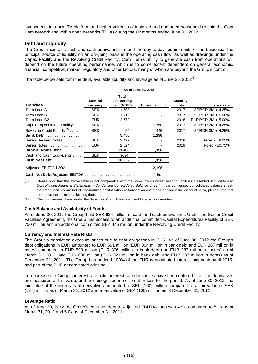investments in a new TV platform and higher volumes of installed and upgraded households within the Com Hem network and within open networks (iTUX) during the six months ended June 30, 2012.

#### **Debt and Liquidity**

The Group maintains cash and cash equivalents to fund the day-to-day requirements of the business. The principal source of liquidity on an on-going basis is the operating cash flow, as well as drawings under the Capex Facility and the Revolving Credit Facility. Com Hem's ability to generate cash from operations will depend on the future operating performance, which is to some extent dependent on general economic, financial, competitive, market, regulatory and other factors, many of which are beyond the Group's control.

The table below sets forth the debt, available liquidity and leverage as of June 30, 2012<sup>(1)</sup>.

|                                          |                     | As of June 30, 2012                        |                |                  |                       |
|------------------------------------------|---------------------|--------------------------------------------|----------------|------------------|-----------------------|
| <b>Tranches</b>                          | Nominal<br>currency | <b>Total</b><br>outstanding<br>debt (MSEK) | Undrawn amount | Maturity<br>date | Interest rate         |
| Term Loan A $\ldots$                     | <b>SEK</b>          | 1,508                                      |                | 2017             | STIBOR 3M + 4.25%     |
| Term Loan B1                             | <b>SEK</b>          | 1,216                                      |                | 2017             | STIBOR 3M + 5.00%     |
| Term Loan B2                             | <b>EUR</b>          | 2,672                                      |                | 2018             | EURIBOR $3M + 5.00\%$ |
| Capex Expenditures Facility              | <b>SEK</b>          |                                            | 750            | 2017             | STIBOR 3M + 4.25%     |
| Revolving Credit Facility <sup>(2)</sup> | <b>SEK</b>          | 54                                         | 446            | 2017             | STIBOR 3M + 4.25%     |
| Bank Debt                                |                     | 5.450                                      | 1,196          |                  |                       |
| Senior Secured Notes                     | <b>SEK</b>          | 3,492                                      |                | 2018             | 9.25%<br>Fixed -      |
| Senior Notes                             | <b>EUR</b>          | 2,524                                      |                | 2019             | Fixed - 10.75%        |
| Bank & Notes Debt                        |                     | 11,466                                     | 1,196          |                  |                       |
| Cash and Cash Equivalents                | <b>SEK</b>          | (634)                                      |                |                  |                       |
| Cash Net Debt                            |                     | 10,832                                     | 1,196          |                  |                       |
|                                          |                     |                                            | 2,198          |                  |                       |
|                                          |                     |                                            | 4.9x           |                  |                       |

(1) Please note that the above table is not comparable with the non-current interest bearing liabilities presented in "*Condensed Consolidated Financial Statements – Condensed Consolidated Balance Sheet"*. In the condensed consolidated balance sheet, the credit facilities are net of unamortized capitalization of transaction costs and original issue discount. Also, please note that the above table excludes leasing debt.

(2) The total amount drawn under the Revolving Credit Facility is used for a bank guarantee.

#### **Cash Balance and Availability of Funds**

As of June 30, 2012 the Group held SEK 634 million of cash and cash equivalents. Under the Senior Credit Facilities Agreement, the Group has access to an additional committed Capital Expenditures Facility of SEK 750 million and an additional committed SEK 446 million under the Revolving Credit Facility.

#### **Currency and Interest Rate Risks**

The Group's translation exposure arises due to debt obligations in EUR. As of June 30, 2012 the Group's debt obligations in EUR amounted to EUR 591 million (EUR 304 million in bank debt and EUR 287 million in notes) compared to EUR 593 million (EUR 306 million in bank debt and EUR 287 million in notes) as of March 31, 2012, and EUR 608 million (EUR 321 million in bank debt and EUR 287 million in notes) as of December 31, 2011. The Group has hedged 100% of the EUR denominated interest payments until 2015, and part of the EUR denominated principal.

To decrease the Group's interest rate risks, interest rate derivatives have been entered into. The derivatives are measured at fair value, and are recognized in net profit or loss for the period. As of June 30, 2012, the fair value of the interest rate derivatives amounted to SEK (160) million compared to a fair value of SEK (127) million as of March 31, 2012 and a fair value of SEK (100) million as of December 31, 2011.

#### **Leverage Ratio**

As of June 30, 2012 the Group's cash net debt to Adjusted EBITDA ratio was 4.9x, compared to 5.1x as of March 31, 2012 and 5.0x as of December 31, 2011.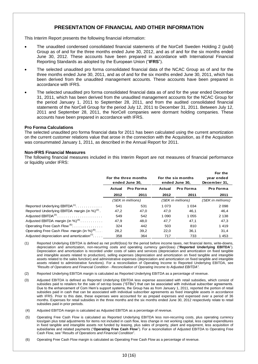## **PRESENTATION OF FINANCIAL AND OTHER INFORMATION**

This Interim Report presents the following financial information:

- The unaudited condensed consolidated financial statements of the NorCell Sweden Holding 2 (publ) Group as of and for the three months ended June 30, 2012, and as of and for the six months ended June 30, 2012. These accounts have been prepared in accordance with International Financial Reporting Standards as adopted by the European Union ("**IFRS**").
- The selected unaudited pro forma consolidated financial data of the NCAC Group as of and for the three months ended June 30, 2011, and as of and for the six months ended June 30, 2011, which has been derived from the unaudited management accounts. These accounts have been prepared in accordance with IFRS.
- The selected unaudited pro forma consolidated financial data as of and for the year ended December 31, 2011, which has been derived from the unaudited management accounts for the NCAC Group for the period January 1, 2011 to September 28, 2011, and from the audited consolidated financial statements of the NorCell Group for the period July 12, 2011 to December 31, 2011. Between July 12, 2011 and September 28, 2011, the NorCell companies were dormant holding companies. These accounts have been prepared in accordance with IFRS.

#### **Pro Forma Calculations**

The selected unaudited pro forma financial data for 2011 has been calculated using the current amortization on the current customer relations value that arose in the connection with the Acquisition, as if the Acquisition was consummated January 1, 2011, as described in the Annual Report for 2011.

#### **Non-IFRS Financial Measures**

The following financial measures included in this Interim Report are not measures of financial performance or liquidity under IFRS:

|                                                                    | For the three months<br>ended June 30, |      |                   | For the six months<br>ended June 30, | For the<br>year ended<br>December 31, |
|--------------------------------------------------------------------|----------------------------------------|------|-------------------|--------------------------------------|---------------------------------------|
|                                                                    | Pro Forma<br>Actual                    |      | Actual            | Pro Forma                            | Pro Forma                             |
|                                                                    | 2012                                   | 2011 | 2012              | 2011                                 | 2011                                  |
|                                                                    | (SEK in millions)                      |      | (SEK in millions) |                                      | (SEK in millions)                     |
| Reported Underlying EBITDA <sup>(1)</sup>                          | 541                                    | 531  | 1 0 7 3           | 1 0 3 4                              | 2 0 9 8                               |
| Reported Underlying EBITDA margin (in %) $(2)$ .                   | 47,2                                   | 47,0 | 47,0              | 46.1                                 | 46,4                                  |
| Adjusted EBITDA <sup>(3)</sup>                                     | 549                                    | 542  | 1 0 9 0           | 1 0 5 5                              | 2 1 3 8                               |
| Adjusted EBITDA margin (in %) <sup>(4)</sup>                       | 47,9                                   | 48.0 | 47,7              | 47.1                                 | 47,3                                  |
| Operating Free Cash Flow <sup>(5)</sup>                            | 324                                    | 442  | 503               | 810                                  | 1419                                  |
| Operating Free Cash Flow margin (in %) $^{(6)}$                    | 28,2                                   | 39.2 | 22,0              | 36.1                                 | 31,4                                  |
| Adjusted depreciation and amortization <sup><math>(7)</math></sup> | 358                                    | 364  | 717               | 733                                  | 1453                                  |

- (1) Reported Underlying EBITDA is defined as net profit/(loss) for the period before income taxes, net financial items, write-downs, depreciation and amortization, non-recurring costs and operating currency gain/(loss) ("**Reported Underlying EBITDA**"). Depreciation and amortization is recorded under costs of sales and services (depreciation and amortization on fixed tangible and intangible assets related to production), selling expenses (depreciation and amortization on fixed tangible and intangible assets related to the sales function) and administrative expenses (depreciation and amortization on fixed tangible and intangible assets related to administrative functions). For a reconciliation of Operating Income to Reported Underlying EBITDA, see *"Results of Operations and Financial Condition* - *Reconciliation of Operating Income to Adjusted EBITDA"*.
- (2) Reported Underlying EBITDA margin is calculated as Reported Underlying EBITDA as a percentage of revenue.
- (3) Adjusted EBITDA is defined as Reported Underlying EBITDA less expense associated with retail subsidies, which consist of subsidies paid to retailers for the sale of set-top boxes ("STBs") that can be associated with individual subscriber agreements. Due to the enhancement of Com Hem's support systems, the Group has as from January 1, 2011, reported the portion of retail subsidies paid in cash that can be associated with individual subscriber agreements as fixed intangible assets in accordance with IFRS. Prior to this date, these expenses were accounted for as prepaid expenses and expensed over a period of 36 months. Expenses for retail subsidies in the three months and the six months ended June 30, 2012 respectively relate to retail subsidies paid in prior periods.
- (4) Adjusted EBITDA margin is calculated as Adjusted EBITDA as a percentage of revenue.
- (5) Operating Free Cash Flow is calculated as Reported Underlying EBITDA less non-recurring costs, plus operating currency loss/gain plus total adjustments for items not included in cash flow, less change in net working capital, less capital expenditures in fixed tangible and intangible assets not funded by leasing, plus sales of property, plant and equipment, less acquisition of subsidiaries and related payments ("**Operating Free Cash Flow**"). For a reconciliation of Adjusted EBITDA to Operating Free Cash Flow, see "*Results of Operations and Financial Condition*".
- (6) Operating Free Cash Flow margin is calculated as Operating Free Cash Flow as a percentage of revenue.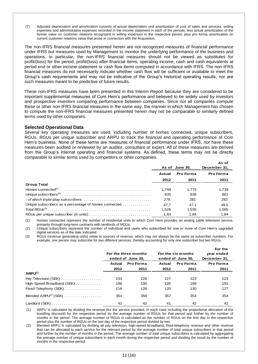(7) Adjusted depreciation and amortization consists of actual depreciation and amortization of cost of sales and services, selling expenses and administrative expenses recorded in the income statement in each of the periods, less actual amortization of the former value on customer relations recognized in selling expenses in the respective period, plus pro forma amortization on current customer relations value that arose in connection with the Acquisition.

The non-IFRS financial measures presented herein are not recognized measures of financial performance under IFRS but measures used by Management to monitor the underlying performance of the business and operations. In particular, the non-IFRS financial measures should not be viewed as substitutes for profit/(loss) for the period, profit/(loss) after financial items, operating income, cash and cash equivalents at period end or other income statement or cash flow items computed in accordance with IFRS. The non-IFRS financial measures do not necessarily indicate whether cash flow will be sufficient or available to meet the Group's cash requirements and may not be indicative of the Group's historical operating results, nor are such measures meant to be predictive of future results.

These non-IFRS measures have been presented in this Interim Report because they are considered to be important supplemental measures of Com Hem's performance and believed to be widely used by investors and prospective investors comparing performance between companies. Since not all companies compute these or other non-IFRS financial measures in the same way, the manner in which Management has chosen to compute the non-IFRS financial measures presented herein may not be comparable to similarly defined terms used by other companies.

#### **Selected Operational Data**

Several key operating measures are used, including number of homes connected, unique subscribers, RGUs, RGUs per unique subscriber and ARPU to track the financial and operating performance of Com Hem's business. None of these terms are measures of financial performance under IFRS, nor have these measures been audited or reviewed by an auditor, consultant or expert. All of these measures are derived from the Group's internal operating and financial systems. As defined, these terms may not be directly comparable to similar terms used by competitors or other companies.

|                                                       |        | As of June 30, | As of<br>December 31, |
|-------------------------------------------------------|--------|----------------|-----------------------|
|                                                       | Actual | Pro Forma      | Pro Forma             |
|                                                       | 2012   | 2011           | 2011                  |
| <b>Group Total</b>                                    |        |                |                       |
|                                                       | 1.749  | 1.775          | 1.739                 |
|                                                       | 835    | 836            | 861                   |
|                                                       | 276    | 281            | 292                   |
| Unique subscribers as a percentage of homes connected | 47.7   | 47.1           | 49.5                  |
|                                                       | 1.526  | 1,535          | 1,585                 |
|                                                       | 1.83   | 1.84           | 1.84                  |

(1) Homes connected represent the number of residential units to which Com Hem provides an analog cable television service, primarily through long-term contracts with landlords of MDUs.

(2) Unique subscribers represent the number of individual end users who subscribed for one or more of Com Hem's upgraded digital services as of the date indicated.

(3) RGUs (revenue generating units) relate to sources of revenue, which may not always be the same as subscriber numbers. For example, one person may subscribe for two different services, thereby accounting for only one subscriber but two RGUs.

|                                                              |        | For the three months<br>ended of June 30. |        | For the six months<br>ended of June 30, | For the<br>year ended<br>December 31, |
|--------------------------------------------------------------|--------|-------------------------------------------|--------|-----------------------------------------|---------------------------------------|
|                                                              | Actual | Pro Forma                                 | Actual | <b>Pro Forma</b>                        | <b>Pro Forma</b>                      |
|                                                              | 2012   | 2011                                      | 2012   | 2011                                    | 2011                                  |
| $APU^{(1)}$                                                  |        |                                           |        |                                         |                                       |
| Pay Television (SEK)                                         | 233    | 228                                       | 227    | 223                                     | 223                                   |
| High-Speed Broadband (SEK) $\ldots \ldots \ldots$            | 196    | 190                                       | 195    | 189                                     | 191                                   |
| $Fixed-Telephony$ (SEK) $\ldots \ldots \ldots \ldots \ldots$ | 118    | 128                                       | 120    | 130                                     | 127                                   |
| Blended $ARPU(2)$ (SEK)                                      | 361    | 358                                       | 357    | 353                                     | 354                                   |
|                                                              | 41     | 42                                        | 41     | 42                                      | 42                                    |

(1) ARPU is calculated by dividing the revenue (for the service provided, in each case including the proportional allocation of the bundling discount) for the respective period by the average number of RGUs for that period and further by the number of months in the period. The average number of RGUs is calculated as the number of RGUs on the first day in the respective period plus the number of RGUs on the last day of the respective period divided by two.

 (2) Blended ARPU is calculated by dividing all pay television, high-speed broadband, fixed-telephony revenue and other revenue that can be allocated to each service for the relevant period by the average number of total unique subscribers in that period and further by the number of months in the period. The average number of total unique subscribers is calculated by aggregating the average number of unique subscribers in each month during the respective period and dividing the result by the number of months in the respective period.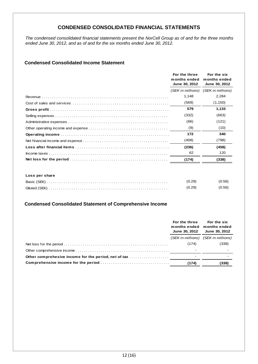## **CONDENSED CONSOLIDATED FINANCIAL STATEMENTS**

*The condensed consolidated financial statements present the NorCell Group as of and for the three months ended June 30, 2012, and as of and for the six months ended June 30, 2012.* 

## **Condensed Consolidated Income Statement**

| For the three<br>months ended<br>June 30, 2012 | For the six<br>months ended<br>June 30, 2012 |
|------------------------------------------------|----------------------------------------------|
| (SEK in millions)                              | (SEK in millions)                            |
| 1,148                                          | 2,284                                        |
| (569)                                          | (1, 150)                                     |
| 579                                            | 1,133                                        |
| (332)                                          | (663)                                        |
| (66)                                           | (121)                                        |
| (9)                                            | (10)                                         |
| 172                                            | 340                                          |
| (408)                                          | (798)                                        |
| (236)                                          | (458)                                        |
| 62                                             | 120                                          |
| (174)                                          | (338)                                        |
|                                                |                                              |

#### **Loss per share**

|               | (0.29) | (0.56) |
|---------------|--------|--------|
| Diluted (SEK) | (0.29) | (0.56) |

#### **Condensed Consolidated Statement of Comprehensive Income**

| For the three<br>months ended months ended<br><b>June 30, 2012</b> | For the six<br><b>June 30, 2012</b> |
|--------------------------------------------------------------------|-------------------------------------|
|                                                                    | (SEK in millions) (SEK in millions) |
| (174)                                                              | (338)                               |
|                                                                    |                                     |
|                                                                    |                                     |
| (174)                                                              | (338)                               |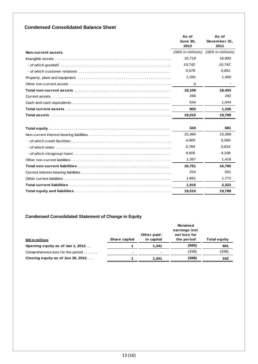## **Condensed Consolidated Balance Sheet**

|                    | As of<br><b>June 30.</b><br>2012 | As of<br>December 31,<br>2011 |
|--------------------|----------------------------------|-------------------------------|
| Non-current assets | (SEK in millions)                | (SEK in millions)             |
|                    | 16,718                           | 16,993                        |
|                    | 10.742                           | 10.742                        |
|                    | 5,578                            | 5.851                         |
|                    | 1,391                            | 1,460                         |
|                    | 0                                |                               |
|                    | 18,109                           | 18,453                        |
|                    | 266                              | 292                           |
|                    | 634                              | 1,044                         |
|                    | 900                              | 1,336                         |
|                    | 19,010                           | 19,789                        |
|                    | 343                              | 681                           |
|                    | 15,384                           | 15,369                        |
|                    | 4,905                            | 5,069                         |
|                    | 5,784                            | 5,816                         |
|                    | 4,605                            | 4,338                         |
|                    | 1,367                            | 1.416                         |
|                    | 16,751                           | 16,785                        |
|                    | 254                              | 551                           |
|                    | 1,661                            | 1,772                         |
|                    | 1,916                            | 2,322                         |
|                    | 19,010                           | 19,789                        |

## **Condensed Consolidated Statement of Change in Equity**

|                                   |                          | Other paid-              | <b>Retained</b><br>earnings incl.<br>net loss for |                     |
|-----------------------------------|--------------------------|--------------------------|---------------------------------------------------|---------------------|
| <b>SEK in millions</b>            | Share capital            | in capital               | the period                                        | <b>Total equity</b> |
| Opening equity as of Jan 1, 2012  |                          | 1.341                    | (660)                                             | 681                 |
| Comprehensive loss for the period | $\overline{\phantom{a}}$ | $\overline{\phantom{a}}$ | (338)                                             | (338)               |
| Closing equity as of Jun 30, 2012 |                          | 1.341                    | (999)                                             | 343                 |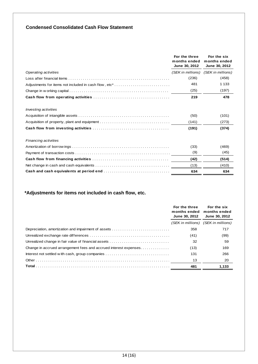## **Condensed Consolidated Cash Flow Statement**

|                                                       | For the three<br>months ended<br>June 30, 2012 | For the six<br>months ended<br>June 30, 2012 |
|-------------------------------------------------------|------------------------------------------------|----------------------------------------------|
| Operating activities                                  |                                                | (SEK in millions) (SEK in millions)          |
|                                                       | (236)                                          | (458)                                        |
| Adjustments for items not included in cash flow, etc* | 481                                            | 1 1 3 3                                      |
|                                                       | (25)                                           | (197)                                        |
|                                                       | 219                                            | 478                                          |
| Investing activities                                  |                                                |                                              |
|                                                       | (50)                                           | (101)                                        |
| Acquisition of property, plant and equipment          | (141)                                          | (273)                                        |
|                                                       | (191)                                          | (374)                                        |
| Financing activities                                  |                                                |                                              |
|                                                       | (33)                                           | (469)                                        |
|                                                       | (9)                                            | (45)                                         |
|                                                       | (42)                                           | (514)                                        |
|                                                       | (13)                                           | (410)                                        |
|                                                       | 634                                            | 634                                          |

## **\*Adjustments for items not included in cash flow, etc.**

|                                                                  | For the three<br>months ended<br><b>June 30, 2012</b> | For the six<br>months ended<br>June 30, 2012 |  |
|------------------------------------------------------------------|-------------------------------------------------------|----------------------------------------------|--|
|                                                                  | (SEK in millions)                                     | (SEK in millions)                            |  |
| Depreciation, amortization and impairment of assets              | 358                                                   | 717                                          |  |
|                                                                  | (41)                                                  | (99)                                         |  |
| Unrealized change in fair value of financial assets              | 32                                                    | 59                                           |  |
| Change in accrued arrangement fees and accrued interest expenses | (13)                                                  | 169                                          |  |
| Interest not settled with cash, group companies                  | 131                                                   | 266                                          |  |
|                                                                  | 13                                                    | 20                                           |  |
|                                                                  | 481                                                   | 1,133                                        |  |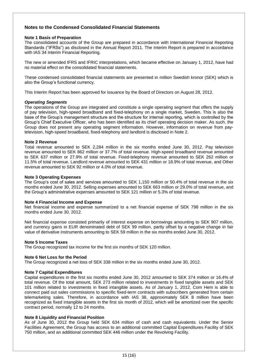#### **Notes to the Condensed Consolidated Financial Statements**

#### **Note 1 Basis of Preparation**

The consolidated accounts of the Group are prepared in accordance with International Financial Reporting Standards ("IFRSs") as disclosed in the Annual Report 2011. The Interim Report is prepared in accordance with IAS 34 Interim Financial Reporting.

The new or amended IFRS and IFRIC interpretations, which became effective on January 1, 2012, have had no material effect on the consolidated financial statements.

These condensed consolidated financial statements are presented in million Swedish kronor (SEK) which is also the Group's functional currency.

This Interim Report has been approved for issuance by the Board of Directors on August 28, 2012.

#### *Operating Segments*

The operations of the Group are integrated and constitute a single operating segment that offers the supply of pay television, high-speed broadband and fixed-telephony on a single market, Sweden. This is also the base of the Group's management structure and the structure for internal reporting, which is controlled by the Group's Chief Executive Officer, who has been identified as its chief operating decision maker. As such, the Group does not present any operating segment information. However, information on revenue from paytelevision, high-speed broadband, fixed-telephony and landlord is disclosed in Note 2.

#### **Note 2 Revenue**

Total revenue amounted to SEK 2,284 million in the six months ended June 30, 2012. Pay television revenue amounted to SEK 862 million or 37.7% of total revenue. High-speed broadband revenue amounted to SEK 637 million or 27.9% of total revenue. Fixed-telephony revenue amounted to SEK 262 million or 11.5% of total revenue. Landlord revenue amounted to SEK 431 million or 18.9% of total revenue, and Other revenue amounted to SEK 92 million or 4.0% of total revenue.

#### **Note 3 Operating Expenses**

The Group's cost of sales and services amounted to SEK 1,150 million or 50.4% of total revenue in the six months ended June 30, 2012. Selling expenses amounted to SEK 663 million or 29.0% of total revenue, and the Group's administrative expenses amounted to SEK 121 million or 5.3% of total revenue.

#### **Note 4 Financial Income and Expense**

Net financial income and expense summarized to a net financial expense of SEK 798 million in the six months ended June 30, 2012.

Net financial expense consisted primarily of interest expense on borrowings amounting to SEK 907 million, and currency gains in EUR denominated debt of SEK 99 million, partly offset by a negative change in fair value of derivative instruments amounting to SEK 59 million in the six months ended June 30, 2012.

#### **Note 5 Income Taxes**

The Group recognized tax income for the first six months of SEK 120 million.

#### **Note 6 Net Loss for the Period**

The Group recognized a net loss of SEK 338 million in the six months ended June 30, 2012.

#### **Note 7 Capital Expenditures**

Capital expenditures in the first six months ended June 30, 2012 amounted to SEK 374 million or 16.4% of total revenue. Of the total amount, SEK 273 million related to investments in fixed tangible assets and SEK 101 million related to investments in fixed intangible assets. As of January 1, 2012, Com Hem is able to connect paid out sales commissions to specific fixed-term contracts with subscribers generated from certain telemarketing sales. Therefore, in accordance with IAS 38, approximately SEK 8 million have been recognized as fixed intangible assets in the first six month of 2012, which will be amortized over the specific contract period, normally 12 to 24 months.

#### **Note 8 Liquidity and Financial Position**

As of June 30, 2012 the Group held SEK 634 million of cash and cash equivalents. Under the Senior Facilities Agreement, the Group has access to an additional committed Capital Expenditures Facility of SEK 750 million, and an additional committed SEK 446 million under the Revolving Facility.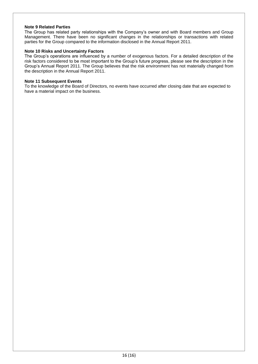#### **Note 9 Related Parties**

The Group has related party relationships with the Company's owner and with Board members and Group Management. There have been no significant changes in the relationships or transactions with related parties for the Group compared to the information disclosed in the Annual Report 2011.

#### **Note 10 Risks and Uncertainty Factors**

The Group's operations are influenced by a number of exogenous factors. For a detailed description of the risk factors considered to be most important to the Group's future progress, please see the description in the Group's Annual Report 2011. The Group believes that the risk environment has not materially changed from the description in the Annual Report 2011.

#### **Note 11 Subsequent Events**

To the knowledge of the Board of Directors, no events have occurred after closing date that are expected to have a material impact on the business.